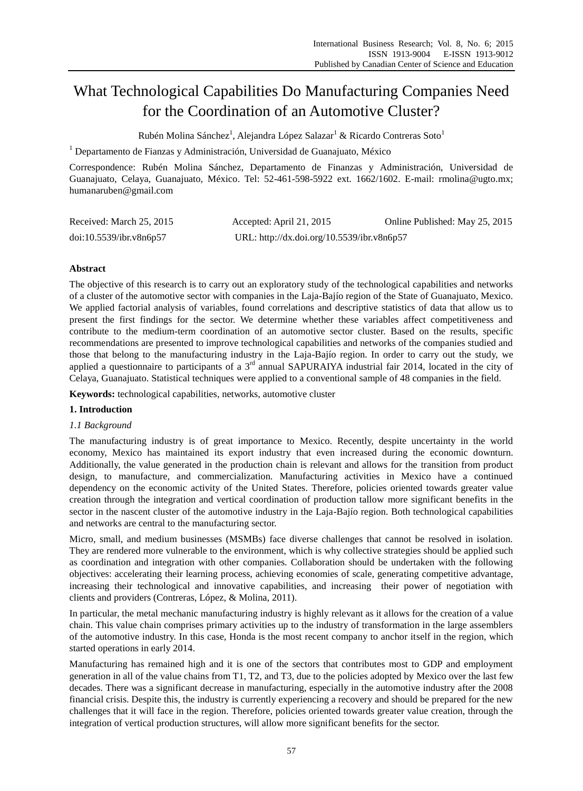# What Technological Capabilities Do Manufacturing Companies Need for the Coordination of an Automotive Cluster?

Rub én Molina S ánchez $^1$ , Alejandra López Salazar $^1$  & Ricardo Contreras Soto $^1$ 

 $1$  Departamento de Fianzas y Administración, Universidad de Guanajuato, México

Correspondence: Rubén Molina Sánchez, Departamento de Finanzas y Administración, Universidad de Guanajuato, Celaya, Guanajuato, México. Tel: 52-461-598-5922 ext. 1662/1602. E-mail: rmolina@ugto.mx; humanaruben@gmail.com

| Received: March 25, 2015 | Accepted: April 21, 2015                   | Online Published: May 25, 2015 |
|--------------------------|--------------------------------------------|--------------------------------|
| doi:10.5539/ibr.v8n6p57  | URL: http://dx.doi.org/10.5539/ibr.v8n6p57 |                                |

# **Abstract**

The objective of this research is to carry out an exploratory study of the technological capabilities and networks of a cluster of the automotive sector with companies in the Laja-Bajío region of the State of Guanajuato, Mexico. We applied factorial analysis of variables, found correlations and descriptive statistics of data that allow us to present the first findings for the sector. We determine whether these variables affect competitiveness and contribute to the medium-term coordination of an automotive sector cluster. Based on the results, specific recommendations are presented to improve technological capabilities and networks of the companies studied and those that belong to the manufacturing industry in the Laja-Baj  $\acute{o}$  region. In order to carry out the study, we applied a questionnaire to participants of a 3<sup>rd</sup> annual SAPURAIYA industrial fair 2014, located in the city of Celaya, Guanajuato. Statistical techniques were applied to a conventional sample of 48 companies in the field.

**Keywords:** technological capabilities, networks, automotive cluster

# **1. Introduction**

## *1.1 Background*

The manufacturing industry is of great importance to Mexico. Recently, despite uncertainty in the world economy, Mexico has maintained its export industry that even increased during the economic downturn. Additionally, the value generated in the production chain is relevant and allows for the transition from product design, to manufacture, and commercialization. Manufacturing activities in Mexico have a continued dependency on the economic activity of the United States. Therefore, policies oriented towards greater value creation through the integration and vertical coordination of production tallow more significant benefits in the sector in the nascent cluster of the automotive industry in the Laja-Baj *foregion*. Both technological capabilities and networks are central to the manufacturing sector.

Micro, small, and medium businesses (MSMBs) face diverse challenges that cannot be resolved in isolation. They are rendered more vulnerable to the environment, which is why collective strategies should be applied such as coordination and integration with other companies. Collaboration should be undertaken with the following objectives: accelerating their learning process, achieving economies of scale, generating competitive advantage, increasing their technological and innovative capabilities, and increasing their power of negotiation with clients and providers (Contreras, López, & Molina, 2011).

In particular, the metal mechanic manufacturing industry is highly relevant as it allows for the creation of a value chain. This value chain comprises primary activities up to the industry of transformation in the large assemblers of the automotive industry. In this case, Honda is the most recent company to anchor itself in the region, which started operations in early 2014.

Manufacturing has remained high and it is one of the sectors that contributes most to GDP and employment generation in all of the value chains from T1, T2, and T3, due to the policies adopted by Mexico over the last few decades. There was a significant decrease in manufacturing, especially in the automotive industry after the 2008 financial crisis. Despite this, the industry is currently experiencing a recovery and should be prepared for the new challenges that it will face in the region. Therefore, policies oriented towards greater value creation, through the integration of vertical production structures, will allow more significant benefits for the sector.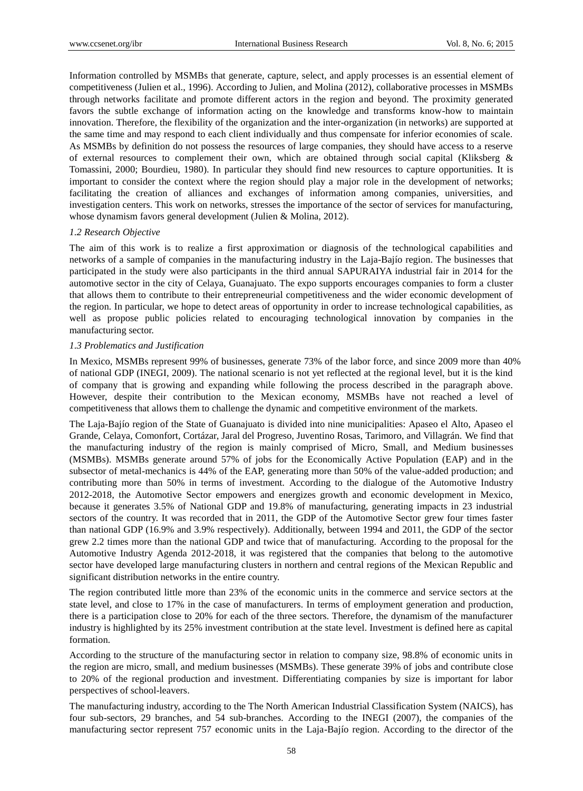Information controlled by MSMBs that generate, capture, select, and apply processes is an essential element of competitiveness (Julien et al., 1996). According to Julien, and Molina (2012), collaborative processes in MSMBs through networks facilitate and promote different actors in the region and beyond. The proximity generated favors the subtle exchange of information acting on the knowledge and transforms know-how to maintain innovation. Therefore, the flexibility of the organization and the inter-organization (in networks) are supported at the same time and may respond to each client individually and thus compensate for inferior economies of scale. As MSMBs by definition do not possess the resources of large companies, they should have access to a reserve of external resources to complement their own, which are obtained through social capital (Kliksberg & Tomassini, 2000; Bourdieu, 1980). In particular they should find new resources to capture opportunities. It is important to consider the context where the region should play a major role in the development of networks; facilitating the creation of alliances and exchanges of information among companies, universities, and investigation centers. This work on networks, stresses the importance of the sector of services for manufacturing, whose dynamism favors general development (Julien & Molina, 2012).

## *1.2 Research Objective*

The aim of this work is to realize a first approximation or diagnosis of the technological capabilities and networks of a sample of companies in the manufacturing industry in the Laja-Bajío region. The businesses that participated in the study were also participants in the third annual SAPURAIYA industrial fair in 2014 for the automotive sector in the city of Celaya, Guanajuato. The expo supports encourages companies to form a cluster that allows them to contribute to their entrepreneurial competitiveness and the wider economic development of the region. In particular, we hope to detect areas of opportunity in order to increase technological capabilities, as well as propose public policies related to encouraging technological innovation by companies in the manufacturing sector.

## *1.3 Problematics and Justification*

In Mexico, MSMBs represent 99% of businesses, generate 73% of the labor force, and since 2009 more than 40% of national GDP (INEGI, 2009). The national scenario is not yet reflected at the regional level, but it is the kind of company that is growing and expanding while following the process described in the paragraph above. However, despite their contribution to the Mexican economy, MSMBs have not reached a level of competitiveness that allows them to challenge the dynamic and competitive environment of the markets.

The Laja-Bajío region of the State of Guanajuato is divided into nine municipalities: Apaseo el Alto, Apaseo el Grande, Celaya, Comonfort, Cortázar, Jaral del Progreso, Juventino Rosas, Tarimoro, and Villagrán. We find that the manufacturing industry of the region is mainly comprised of Micro, Small, and Medium businesses (MSMBs). MSMBs generate around 57% of jobs for the Economically Active Population (EAP) and in the subsector of metal-mechanics is 44% of the EAP, generating more than 50% of the value-added production; and contributing more than 50% in terms of investment. According to the dialogue of the Automotive Industry 2012-2018, the Automotive Sector empowers and energizes growth and economic development in Mexico, because it generates 3.5% of National GDP and 19.8% of manufacturing, generating impacts in 23 industrial sectors of the country. It was recorded that in 2011, the GDP of the Automotive Sector grew four times faster than national GDP (16.9% and 3.9% respectively). Additionally, between 1994 and 2011, the GDP of the sector grew 2.2 times more than the national GDP and twice that of manufacturing. According to the proposal for the Automotive Industry Agenda 2012-2018, it was registered that the companies that belong to the automotive sector have developed large manufacturing clusters in northern and central regions of the Mexican Republic and significant distribution networks in the entire country.

The region contributed little more than 23% of the economic units in the commerce and service sectors at the state level, and close to 17% in the case of manufacturers. In terms of employment generation and production, there is a participation close to 20% for each of the three sectors. Therefore, the dynamism of the manufacturer industry is highlighted by its 25% investment contribution at the state level. Investment is defined here as capital formation.

According to the structure of the manufacturing sector in relation to company size, 98.8% of economic units in the region are micro, small, and medium businesses (MSMBs). These generate 39% of jobs and contribute close to 20% of the regional production and investment. Differentiating companies by size is important for labor perspectives of school-leavers.

The manufacturing industry, according to the The North American Industrial Classification System (NAICS), has four sub-sectors, 29 branches, and 54 sub-branches. According to the INEGI (2007), the companies of the manufacturing sector represent 757 economic units in the Laja-Bajío region. According to the director of the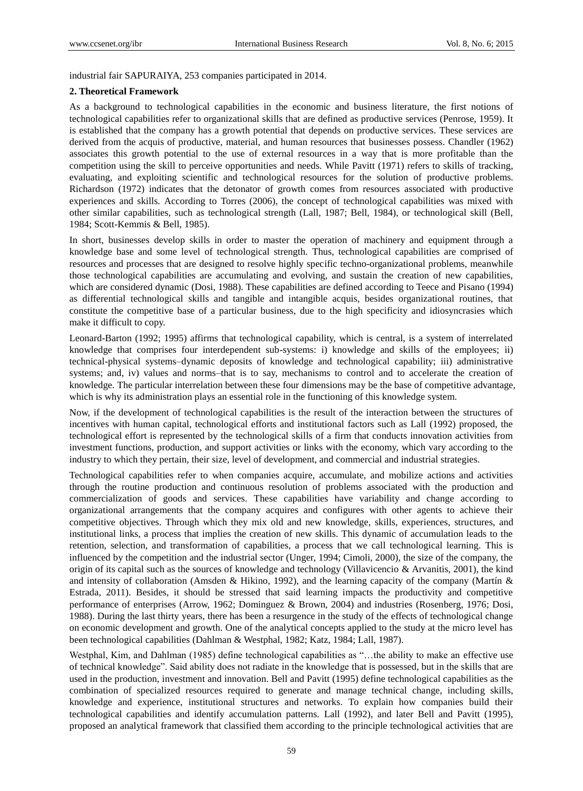industrial fair SAPURAIYA, 253 companies participated in 2014.

#### **2. Theoretical Framework**

As a background to technological capabilities in the economic and business literature, the first notions of technological capabilities refer to organizational skills that are defined as productive services (Penrose, 1959). It is established that the company has a growth potential that depends on productive services. These services are derived from the acquis of productive, material, and human resources that businesses possess. Chandler (1962) associates this growth potential to the use of external resources in a way that is more profitable than the competition using the skill to perceive opportunities and needs. While Pavitt (1971) refers to skills of tracking, evaluating, and exploiting scientific and technological resources for the solution of productive problems. Richardson (1972) indicates that the detonator of growth comes from resources associated with productive experiences and skills. According to Torres (2006), the concept of technological capabilities was mixed with other similar capabilities, such as technological strength (Lall, 1987; Bell, 1984), or technological skill (Bell, 1984; Scott-Kemmis & Bell, 1985).

In short, businesses develop skills in order to master the operation of machinery and equipment through a knowledge base and some level of technological strength. Thus, technological capabilities are comprised of resources and processes that are designed to resolve highly specific techno-organizational problems, meanwhile those technological capabilities are accumulating and evolving, and sustain the creation of new capabilities, which are considered dynamic (Dosi, 1988). These capabilities are defined according to Teece and Pisano (1994) as differential technological skills and tangible and intangible acquis, besides organizational routines, that constitute the competitive base of a particular business, due to the high specificity and idiosyncrasies which make it difficult to copy.

Leonard-Barton (1992; 1995) affirms that technological capability, which is central, is a system of interrelated knowledge that comprises four interdependent sub-systems: i) knowledge and skills of the employees; ii) technical-physical systems–dynamic deposits of knowledge and technological capability; iii) administrative systems; and, iv) values and norms–that is to say, mechanisms to control and to accelerate the creation of knowledge. The particular interrelation between these four dimensions may be the base of competitive advantage, which is why its administration plays an essential role in the functioning of this knowledge system.

Now, if the development of technological capabilities is the result of the interaction between the structures of incentives with human capital, technological efforts and institutional factors such as Lall (1992) proposed, the technological effort is represented by the technological skills of a firm that conducts innovation activities from investment functions, production, and support activities or links with the economy, which vary according to the industry to which they pertain, their size, level of development, and commercial and industrial strategies.

Technological capabilities refer to when companies acquire, accumulate, and mobilize actions and activities through the routine production and continuous resolution of problems associated with the production and commercialization of goods and services. These capabilities have variability and change according to organizational arrangements that the company acquires and configures with other agents to achieve their competitive objectives. Through which they mix old and new knowledge, skills, experiences, structures, and institutional links, a process that implies the creation of new skills. This dynamic of accumulation leads to the retention, selection, and transformation of capabilities, a process that we call technological learning. This is influenced by the competition and the industrial sector (Unger, 1994; Cimoli, 2000), the size of the company, the origin of its capital such as the sources of knowledge and technology (Villavicencio & Arvanitis, 2001), the kind and intensity of collaboration (Amsden & Hikino, 1992), and the learning capacity of the company (Mart  $\hat{n}$  & Estrada, 2011). Besides, it should be stressed that said learning impacts the productivity and competitive performance of enterprises (Arrow, 1962; Dominguez & Brown, 2004) and industries (Rosenberg, 1976; Dosi, 1988). During the last thirty years, there has been a resurgence in the study of the effects of technological change on economic development and growth. One of the analytical concepts applied to the study at the micro level has been technological capabilities (Dahlman & Westphal, 1982; Katz, 1984; Lall, 1987).

Westphal, Kim, and Dahlman (1985) define technological capabilities as "...the ability to make an effective use of technical knowledge". Said ability does not radiate in the knowledge that is possessed, but in the skills that are used in the production, investment and innovation. Bell and Pavitt (1995) define technological capabilities as the combination of specialized resources required to generate and manage technical change, including skills, knowledge and experience, institutional structures and networks. To explain how companies build their technological capabilities and identify accumulation patterns. Lall (1992), and later Bell and Pavitt (1995), proposed an analytical framework that classified them according to the principle technological activities that are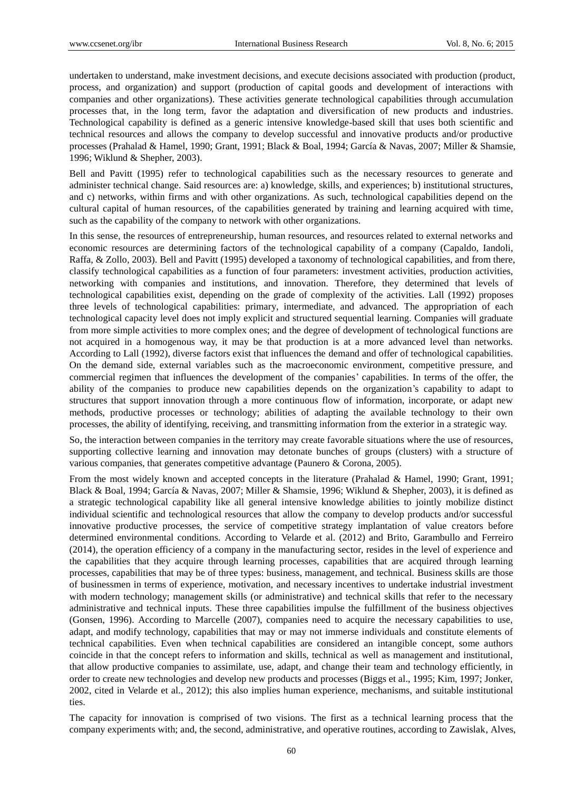undertaken to understand, make investment decisions, and execute decisions associated with production (product, process, and organization) and support (production of capital goods and development of interactions with companies and other organizations). These activities generate technological capabilities through accumulation processes that, in the long term, favor the adaptation and diversification of new products and industries. Technological capability is defined as a generic intensive knowledge-based skill that uses both scientific and technical resources and allows the company to develop successful and innovative products and/or productive processes (Prahalad & Hamel, 1990; Grant, 1991; Black & Boal, 1994; García & Navas, 2007; Miller & Shamsie, 1996; Wiklund & Shepher, 2003).

Bell and Pavitt (1995) refer to technological capabilities such as the necessary resources to generate and administer technical change. Said resources are: a) knowledge, skills, and experiences; b) institutional structures, and c) networks, within firms and with other organizations. As such, technological capabilities depend on the cultural capital of human resources, of the capabilities generated by training and learning acquired with time, such as the capability of the company to network with other organizations.

In this sense, the resources of entrepreneurship, human resources, and resources related to external networks and economic resources are determining factors of the technological capability of a company (Capaldo, Iandoli, Raffa, & Zollo, 2003). Bell and Pavitt (1995) developed a taxonomy of technological capabilities, and from there, classify technological capabilities as a function of four parameters: investment activities, production activities, networking with companies and institutions, and innovation. Therefore, they determined that levels of technological capabilities exist, depending on the grade of complexity of the activities. Lall (1992) proposes three levels of technological capabilities: primary, intermediate, and advanced. The appropriation of each technological capacity level does not imply explicit and structured sequential learning. Companies will graduate from more simple activities to more complex ones; and the degree of development of technological functions are not acquired in a homogenous way, it may be that production is at a more advanced level than networks. According to Lall (1992), diverse factors exist that influences the demand and offer of technological capabilities. On the demand side, external variables such as the macroeconomic environment, competitive pressure, and commercial regimen that influences the development of the companies' capabilities. In terms of the offer, the ability of the companies to produce new capabilities depends on the organization's capability to adapt to structures that support innovation through a more continuous flow of information, incorporate, or adapt new methods, productive processes or technology; abilities of adapting the available technology to their own processes, the ability of identifying, receiving, and transmitting information from the exterior in a strategic way.

So, the interaction between companies in the territory may create favorable situations where the use of resources, supporting collective learning and innovation may detonate bunches of groups (clusters) with a structure of various companies, that generates competitive advantage (Paunero & Corona, 2005).

From the most widely known and accepted concepts in the literature (Prahalad & Hamel, 1990; Grant, 1991; Black & Boal, 1994; García & Navas, 2007; Miller & Shamsie, 1996; Wiklund & Shepher, 2003), it is defined as a strategic technological capability like all general intensive knowledge abilities to jointly mobilize distinct individual scientific and technological resources that allow the company to develop products and/or successful innovative productive processes, the service of competitive strategy implantation of value creators before determined environmental conditions. According to Velarde et al. (2012) and Brito, Garambullo and Ferreiro (2014), the operation efficiency of a company in the manufacturing sector, resides in the level of experience and the capabilities that they acquire through learning processes, capabilities that are acquired through learning processes, capabilities that may be of three types: business, management, and technical. Business skills are those of businessmen in terms of experience, motivation, and necessary incentives to undertake industrial investment with modern technology; management skills (or administrative) and technical skills that refer to the necessary administrative and technical inputs. These three capabilities impulse the fulfillment of the business objectives (Gonsen, 1996). According to Marcelle (2007), companies need to acquire the necessary capabilities to use, adapt, and modify technology, capabilities that may or may not immerse individuals and constitute elements of technical capabilities. Even when technical capabilities are considered an intangible concept, some authors coincide in that the concept refers to information and skills, technical as well as management and institutional, that allow productive companies to assimilate, use, adapt, and change their team and technology efficiently, in order to create new technologies and develop new products and processes (Biggs et al., 1995; Kim, 1997; Jonker, 2002, cited in Velarde et al., 2012); this also implies human experience, mechanisms, and suitable institutional ties.

The capacity for innovation is comprised of two visions. The first as a technical learning process that the company experiments with; and, the second, administrative, and operative routines, according to Zawislak, Alves,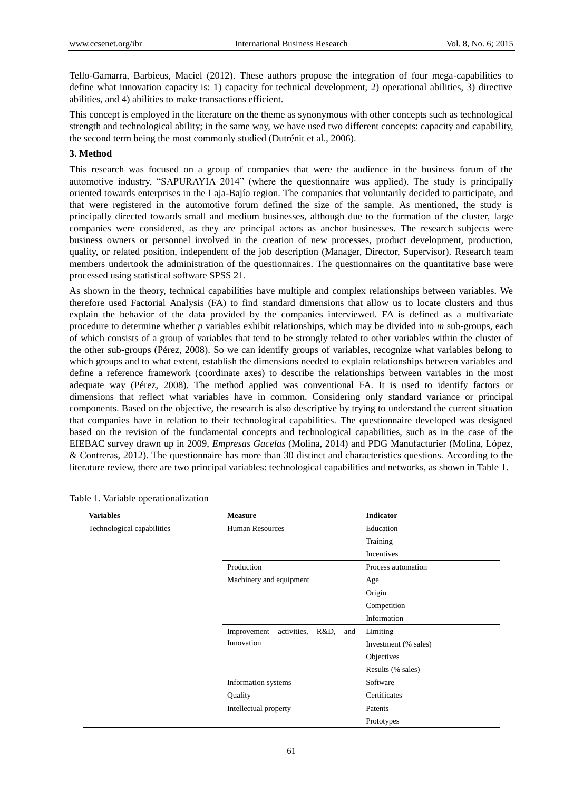Tello-Gamarra, Barbieus, Maciel (2012). These authors propose the integration of four mega-capabilities to define what innovation capacity is: 1) capacity for technical development, 2) operational abilities, 3) directive abilities, and 4) abilities to make transactions efficient.

This concept is employed in the literature on the theme as synonymous with other concepts such as technological strength and technological ability; in the same way, we have used two different concepts: capacity and capability, the second term being the most commonly studied (Dutrénit et al., 2006).

# **3. Method**

This research was focused on a group of companies that were the audience in the business forum of the automotive industry, "SAPURAYIA 2014" (where the questionnaire was applied). The study is principally oriented towards enterprises in the Laja-Bajío region. The companies that voluntarily decided to participate, and that were registered in the automotive forum defined the size of the sample. As mentioned, the study is principally directed towards small and medium businesses, although due to the formation of the cluster, large companies were considered, as they are principal actors as anchor businesses. The research subjects were business owners or personnel involved in the creation of new processes, product development, production, quality, or related position, independent of the job description (Manager, Director, Supervisor). Research team members undertook the administration of the questionnaires. The questionnaires on the quantitative base were processed using statistical software SPSS 21.

As shown in the theory, technical capabilities have multiple and complex relationships between variables. We therefore used Factorial Analysis (FA) to find standard dimensions that allow us to locate clusters and thus explain the behavior of the data provided by the companies interviewed. FA is defined as a multivariate procedure to determine whether *p* variables exhibit relationships, which may be divided into *m* sub-groups, each of which consists of a group of variables that tend to be strongly related to other variables within the cluster of the other sub-groups (Pérez, 2008). So we can identify groups of variables, recognize what variables belong to which groups and to what extent, establish the dimensions needed to explain relationships between variables and define a reference framework (coordinate axes) to describe the relationships between variables in the most adequate way (Pérez, 2008). The method applied was conventional FA. It is used to identify factors or dimensions that reflect what variables have in common. Considering only standard variance or principal components. Based on the objective, the research is also descriptive by trying to understand the current situation that companies have in relation to their technological capabilities. The questionnaire developed was designed based on the revision of the fundamental concepts and technological capabilities, such as in the case of the EIEBAC survey drawn up in 2009, *Empresas Gacelas* (Molina, 2014) and PDG Manufacturier (Molina, López, & Contreras, 2012). The questionnaire has more than 30 distinct and characteristics questions. According to the literature review, there are two principal variables: technological capabilities and networks, as shown in Table 1.

| <b>Variables</b>           | <b>Measure</b>                         | Indicator            |
|----------------------------|----------------------------------------|----------------------|
| Technological capabilities | <b>Human Resources</b>                 | Education            |
|                            |                                        | Training             |
|                            |                                        | Incentives           |
|                            | Production                             | Process automation   |
|                            | Machinery and equipment                | Age                  |
|                            |                                        | Origin               |
|                            |                                        | Competition          |
|                            |                                        | Information          |
|                            | Improvement<br>activities, R&D,<br>and | Limiting             |
|                            | Innovation                             | Investment (% sales) |
|                            |                                        | Objectives           |
|                            |                                        | Results (% sales)    |
|                            | Information systems                    | Software             |
|                            | Quality                                | Certificates         |
|                            | Intellectual property                  | Patents              |
|                            |                                        | Prototypes           |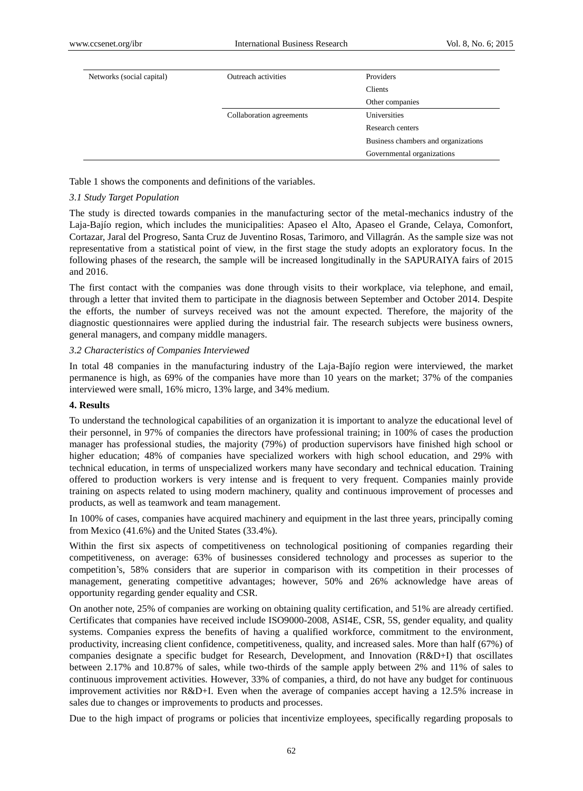| Networks (social capital) | Outreach activities      | Providers                           |
|---------------------------|--------------------------|-------------------------------------|
|                           |                          | Clients                             |
|                           |                          | Other companies                     |
|                           | Collaboration agreements | <b>Universities</b>                 |
|                           |                          | Research centers                    |
|                           |                          | Business chambers and organizations |
|                           |                          | Governmental organizations          |
|                           |                          |                                     |

Table 1 shows the components and definitions of the variables.

#### *3.1 Study Target Population*

The study is directed towards companies in the manufacturing sector of the metal-mechanics industry of the Laja-Bajío region, which includes the municipalities: Apaseo el Alto, Apaseo el Grande, Celaya, Comonfort, Cortazar, Jaral del Progreso, Santa Cruz de Juventino Rosas, Tarimoro, and Villagrán. As the sample size was not representative from a statistical point of view, in the first stage the study adopts an exploratory focus. In the following phases of the research, the sample will be increased longitudinally in the SAPURAIYA fairs of 2015 and 2016.

The first contact with the companies was done through visits to their workplace, via telephone, and email, through a letter that invited them to participate in the diagnosis between September and October 2014. Despite the efforts, the number of surveys received was not the amount expected. Therefore, the majority of the diagnostic questionnaires were applied during the industrial fair. The research subjects were business owners, general managers, and company middle managers.

#### *3.2 Characteristics of Companies Interviewed*

In total 48 companies in the manufacturing industry of the Laja-Baj of region were interviewed, the market permanence is high, as 69% of the companies have more than 10 years on the market; 37% of the companies interviewed were small, 16% micro, 13% large, and 34% medium.

#### **4. Results**

To understand the technological capabilities of an organization it is important to analyze the educational level of their personnel, in 97% of companies the directors have professional training; in 100% of cases the production manager has professional studies, the majority (79%) of production supervisors have finished high school or higher education; 48% of companies have specialized workers with high school education, and 29% with technical education, in terms of unspecialized workers many have secondary and technical education. Training offered to production workers is very intense and is frequent to very frequent. Companies mainly provide training on aspects related to using modern machinery, quality and continuous improvement of processes and products, as well as teamwork and team management.

In 100% of cases, companies have acquired machinery and equipment in the last three years, principally coming from Mexico (41.6%) and the United States (33.4%).

Within the first six aspects of competitiveness on technological positioning of companies regarding their competitiveness, on average: 63% of businesses considered technology and processes as superior to the competition's, 58% considers that are superior in comparison with its competition in their processes of management, generating competitive advantages; however, 50% and 26% acknowledge have areas of opportunity regarding gender equality and CSR.

On another note, 25% of companies are working on obtaining quality certification, and 51% are already certified. Certificates that companies have received include ISO9000-2008, ASI4E, CSR, 5S, gender equality, and quality systems. Companies express the benefits of having a qualified workforce, commitment to the environment, productivity, increasing client confidence, competitiveness, quality, and increased sales. More than half (67%) of companies designate a specific budget for Research, Development, and Innovation (R&D+I) that oscillates between 2.17% and 10.87% of sales, while two-thirds of the sample apply between 2% and 11% of sales to continuous improvement activities. However, 33% of companies, a third, do not have any budget for continuous improvement activities nor R&D+I. Even when the average of companies accept having a 12.5% increase in sales due to changes or improvements to products and processes.

Due to the high impact of programs or policies that incentivize employees, specifically regarding proposals to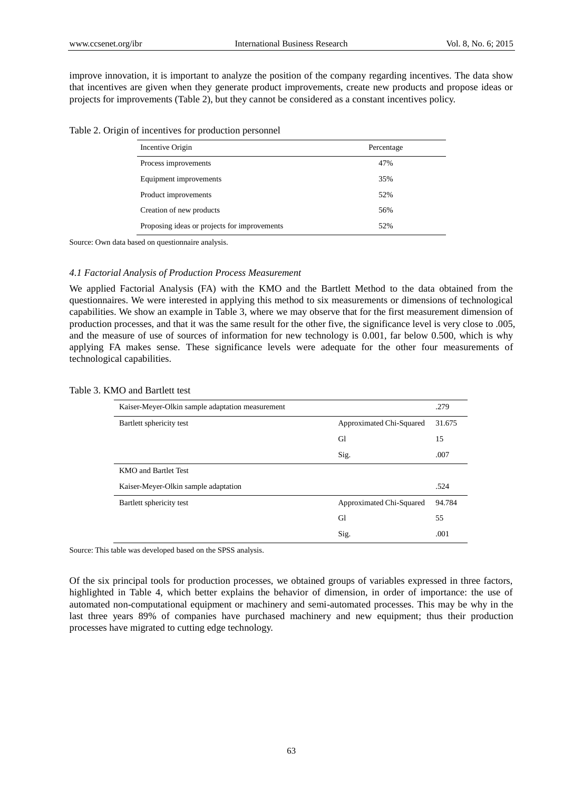improve innovation, it is important to analyze the position of the company regarding incentives. The data show that incentives are given when they generate product improvements, create new products and propose ideas or projects for improvements (Table 2), but they cannot be considered as a constant incentives policy.

Table 2. Origin of incentives for production personnel

| Incentive Origin                             | Percentage |
|----------------------------------------------|------------|
| Process improvements                         | 47%        |
| Equipment improvements                       | 35%        |
| Product improvements                         | 52%        |
| Creation of new products                     | 56%        |
| Proposing ideas or projects for improvements | 52%        |

Source: Own data based on questionnaire analysis.

# *4.1 Factorial Analysis of Production Process Measurement*

We applied Factorial Analysis (FA) with the KMO and the Bartlett Method to the data obtained from the questionnaires. We were interested in applying this method to six measurements or dimensions of technological capabilities. We show an example in Table 3, where we may observe that for the first measurement dimension of production processes, and that it was the same result for the other five, the significance level is very close to .005, and the measure of use of sources of information for new technology is 0.001, far below 0.500, which is why applying FA makes sense. These significance levels were adequate for the other four measurements of technological capabilities.

#### Table 3. KMO and Bartlett test

| Kaiser-Meyer-Olkin sample adaptation measurement |                          | .279   |
|--------------------------------------------------|--------------------------|--------|
| Bartlett sphericity test                         | Approximated Chi-Squared | 31.675 |
|                                                  | Gl                       | 15     |
|                                                  | Sig.                     | .007   |
| KMO and Bartlet Test                             |                          |        |
| Kaiser-Meyer-Olkin sample adaptation             |                          | .524   |
| Bartlett sphericity test                         | Approximated Chi-Squared | 94.784 |
|                                                  | Gl                       | 55     |
|                                                  | Sig.                     | .001   |

Source: This table was developed based on the SPSS analysis.

Of the six principal tools for production processes, we obtained groups of variables expressed in three factors, highlighted in Table 4, which better explains the behavior of dimension, in order of importance: the use of automated non-computational equipment or machinery and semi-automated processes. This may be why in the last three years 89% of companies have purchased machinery and new equipment; thus their production processes have migrated to cutting edge technology.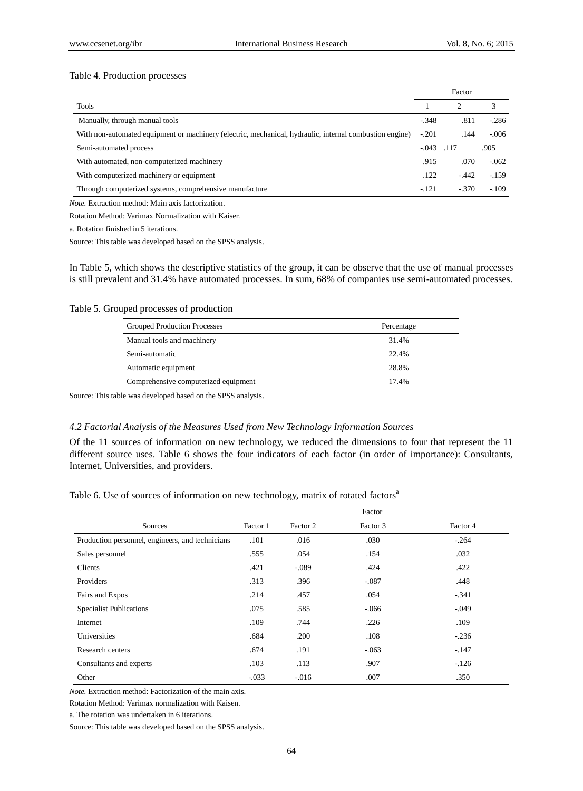## Table 4. Production processes

|                                                                                                         |         | Factor                      |         |
|---------------------------------------------------------------------------------------------------------|---------|-----------------------------|---------|
| <b>Tools</b>                                                                                            |         | $\mathcal{D}_{\mathcal{L}}$ |         |
| Manually, through manual tools                                                                          | $-.348$ | .811                        | $-286$  |
| With non-automated equipment or machinery (electric, mechanical, hydraulic, internal combustion engine) | $-.201$ | .144                        | $-.006$ |
| Semi-automated process                                                                                  | $-.043$ | .117                        | .905    |
| With automated, non-computerized machinery                                                              | .915    | .070                        | $-.062$ |
| With computerized machinery or equipment                                                                | .122    | $-442$                      | $-1.59$ |
| Through computerized systems, comprehensive manufacture                                                 | $-.121$ | $-.370$                     | $-109$  |

*Note.* Extraction method: Main axis factorization.

Rotation Method: Varimax Normalization with Kaiser.

a. Rotation finished in 5 iterations.

Source: This table was developed based on the SPSS analysis.

In Table 5, which shows the descriptive statistics of the group, it can be observe that the use of manual processes is still prevalent and 31.4% have automated processes. In sum, 68% of companies use semi-automated processes.

Table 5. Grouped processes of production

| Grouped Production Processes         | Percentage |
|--------------------------------------|------------|
| Manual tools and machinery           | 31.4%      |
| Semi-automatic                       | 22.4%      |
| Automatic equipment                  | 28.8%      |
| Comprehensive computerized equipment | 17.4%      |

Source: This table was developed based on the SPSS analysis.

#### *4.2 Factorial Analysis of the Measures Used from New Technology Information Sources*

Of the 11 sources of information on new technology, we reduced the dimensions to four that represent the 11 different source uses. Table 6 shows the four indicators of each factor (in order of importance): Consultants, Internet, Universities, and providers.

Table 6. Use of sources of information on new technology, matrix of rotated factors<sup>a</sup>

|                                                  | Factor   |          |          |          |
|--------------------------------------------------|----------|----------|----------|----------|
| Sources                                          | Factor 1 | Factor 2 | Factor 3 | Factor 4 |
| Production personnel, engineers, and technicians | .101     | .016     | .030     | $-.264$  |
| Sales personnel                                  | .555     | .054     | .154     | .032     |
| Clients                                          | .421     | $-.089$  | .424     | .422     |
| Providers                                        | .313     | .396     | $-.087$  | .448     |
| Fairs and Expos                                  | .214     | .457     | .054     | $-.341$  |
| <b>Specialist Publications</b>                   | .075     | .585     | $-0.066$ | $-.049$  |
| Internet                                         | .109     | .744     | .226     | .109     |
| Universities                                     | .684     | .200     | .108     | $-.236$  |
| Research centers                                 | .674     | .191     | $-.063$  | $-.147$  |
| Consultants and experts                          | .103     | .113     | .907     | $-126$   |
| Other                                            | $-.033$  | $-.016$  | .007     | .350     |

*Note.* Extraction method: Factorization of the main axis.

Rotation Method: Varimax normalization with Kaisen.

a. The rotation was undertaken in 6 iterations.

Source: This table was developed based on the SPSS analysis.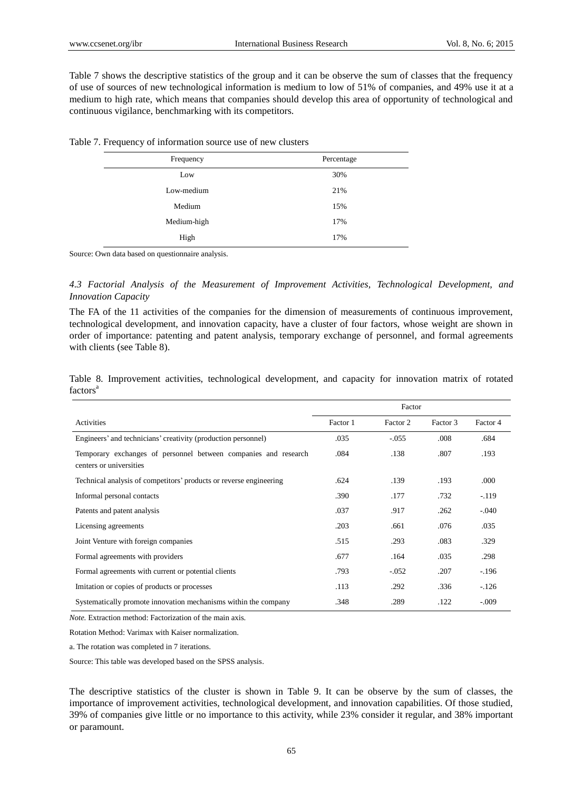Table 7 shows the descriptive statistics of the group and it can be observe the sum of classes that the frequency of use of sources of new technological information is medium to low of 51% of companies, and 49% use it at a medium to high rate, which means that companies should develop this area of opportunity of technological and continuous vigilance, benchmarking with its competitors.

Table 7. Frequency of information source use of new clusters

| Frequency   | Percentage |
|-------------|------------|
| Low         | 30%        |
| Low-medium  | 21%        |
| Medium      | 15%        |
| Medium-high | 17%        |
| High        | 17%        |

Source: Own data based on questionnaire analysis.

*4.3 Factorial Analysis of the Measurement of Improvement Activities, Technological Development, and Innovation Capacity*

The FA of the 11 activities of the companies for the dimension of measurements of continuous improvement, technological development, and innovation capacity, have a cluster of four factors, whose weight are shown in order of importance: patenting and patent analysis, temporary exchange of personnel, and formal agreements with clients (see Table 8).

Table 8. Improvement activities, technological development, and capacity for innovation matrix of rotated  $factors<sup>a</sup>$ 

|                                                                                            | Factor   |          |          |          |
|--------------------------------------------------------------------------------------------|----------|----------|----------|----------|
| Activities                                                                                 | Factor 1 | Factor 2 | Factor 3 | Factor 4 |
| Engineers' and technicians' creativity (production personnel)                              | .035     | $-.055$  | .008     | .684     |
| Temporary exchanges of personnel between companies and research<br>centers or universities | .084     | .138     | .807     | .193     |
| Technical analysis of competitors' products or reverse engineering                         | .624     | .139     | .193     | .000.    |
| Informal personal contacts                                                                 | .390     | .177     | .732     | $-.119$  |
| Patents and patent analysis                                                                | .037     | .917     | .262     | $-.040$  |
| Licensing agreements                                                                       | .203     | .661     | .076     | .035     |
| Joint Venture with foreign companies                                                       | .515     | .293     | .083     | .329     |
| Formal agreements with providers                                                           | .677     | .164     | .035     | .298     |
| Formal agreements with current or potential clients                                        | .793     | $-.052$  | .207     | $-.196$  |
| Imitation or copies of products or processes                                               | .113     | .292     | .336     | $-126$   |
| Systematically promote innovation mechanisms within the company                            | .348     | .289     | .122     | $-.009$  |

*Note.* Extraction method: Factorization of the main axis.

Rotation Method: Varimax with Kaiser normalization.

a. The rotation was completed in 7 iterations.

Source: This table was developed based on the SPSS analysis.

The descriptive statistics of the cluster is shown in Table 9. It can be observe by the sum of classes, the importance of improvement activities, technological development, and innovation capabilities. Of those studied, 39% of companies give little or no importance to this activity, while 23% consider it regular, and 38% important or paramount.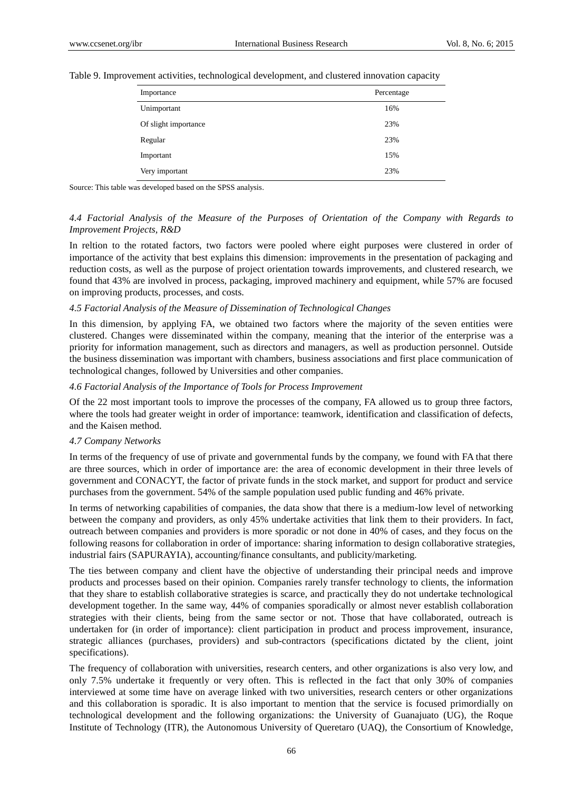| Importance           | Percentage |
|----------------------|------------|
| Unimportant          | 16%        |
| Of slight importance | 23%        |
| Regular              | 23%        |
| Important            | 15%        |
| Very important       | 23%        |

Table 9. Improvement activities, technological development, and clustered innovation capacity

Source: This table was developed based on the SPSS analysis.

# *4.4 Factorial Analysis of the Measure of the Purposes of Orientation of the Company with Regards to Improvement Projects, R&D*

In reltion to the rotated factors, two factors were pooled where eight purposes were clustered in order of importance of the activity that best explains this dimension: improvements in the presentation of packaging and reduction costs, as well as the purpose of project orientation towards improvements, and clustered research, we found that 43% are involved in process, packaging, improved machinery and equipment, while 57% are focused on improving products, processes, and costs.

#### *4.5 Factorial Analysis of the Measure of Dissemination of Technological Changes*

In this dimension, by applying FA, we obtained two factors where the majority of the seven entities were clustered. Changes were disseminated within the company, meaning that the interior of the enterprise was a priority for information management, such as directors and managers, as well as production personnel. Outside the business dissemination was important with chambers, business associations and first place communication of technological changes, followed by Universities and other companies.

#### *4.6 Factorial Analysis of the Importance of Tools for Process Improvement*

Of the 22 most important tools to improve the processes of the company, FA allowed us to group three factors, where the tools had greater weight in order of importance: teamwork, identification and classification of defects, and the Kaisen method.

#### *4.7 Company Networks*

In terms of the frequency of use of private and governmental funds by the company, we found with FA that there are three sources, which in order of importance are: the area of economic development in their three levels of government and CONACYT, the factor of private funds in the stock market, and support for product and service purchases from the government. 54% of the sample population used public funding and 46% private.

In terms of networking capabilities of companies, the data show that there is a medium-low level of networking between the company and providers, as only 45% undertake activities that link them to their providers. In fact, outreach between companies and providers is more sporadic or not done in 40% of cases, and they focus on the following reasons for collaboration in order of importance: sharing information to design collaborative strategies, industrial fairs (SAPURAYIA), accounting/finance consultants, and publicity/marketing.

The ties between company and client have the objective of understanding their principal needs and improve products and processes based on their opinion. Companies rarely transfer technology to clients, the information that they share to establish collaborative strategies is scarce, and practically they do not undertake technological development together. In the same way, 44% of companies sporadically or almost never establish collaboration strategies with their clients, being from the same sector or not. Those that have collaborated, outreach is undertaken for (in order of importance): client participation in product and process improvement, insurance, strategic alliances (purchases, providers) and sub-contractors (specifications dictated by the client, joint specifications).

The frequency of collaboration with universities, research centers, and other organizations is also very low, and only 7.5% undertake it frequently or very often. This is reflected in the fact that only 30% of companies interviewed at some time have on average linked with two universities, research centers or other organizations and this collaboration is sporadic. It is also important to mention that the service is focused primordially on technological development and the following organizations: the University of Guanajuato (UG), the Roque Institute of Technology (ITR), the Autonomous University of Queretaro (UAQ), the Consortium of Knowledge,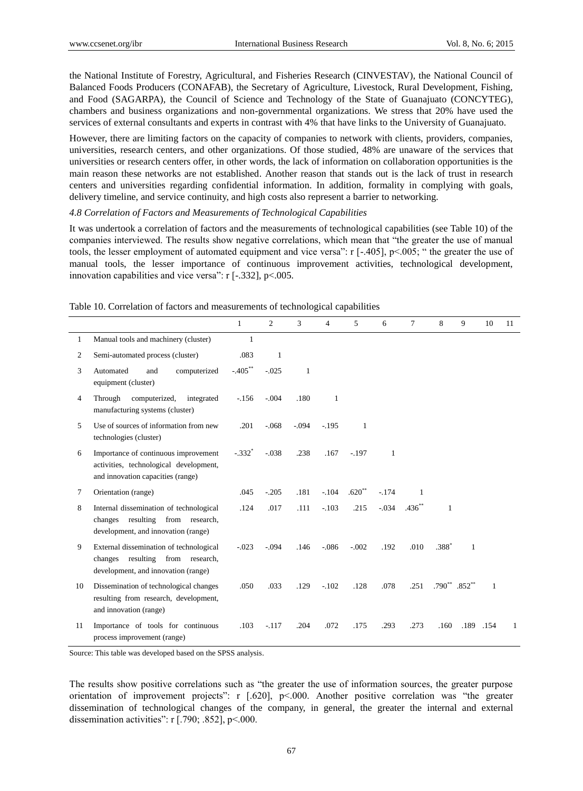the National Institute of Forestry, Agricultural, and Fisheries Research (CINVESTAV), the National Council of Balanced Foods Producers (CONAFAB), the Secretary of Agriculture, Livestock, Rural Development, Fishing, and Food (SAGARPA), the Council of Science and Technology of the State of Guanajuato (CONCYTEG), chambers and business organizations and non-governmental organizations. We stress that 20% have used the services of external consultants and experts in contrast with 4% that have links to the University of Guanajuato.

However, there are limiting factors on the capacity of companies to network with clients, providers, companies, universities, research centers, and other organizations. Of those studied, 48% are unaware of the services that universities or research centers offer, in other words, the lack of information on collaboration opportunities is the main reason these networks are not established. Another reason that stands out is the lack of trust in research centers and universities regarding confidential information. In addition, formality in complying with goals, delivery timeline, and service continuity, and high costs also represent a barrier to networking.

#### *4.8 Correlation of Factors and Measurements of Technological Capabilities*

It was undertook a correlation of factors and the measurements of technological capabilities (see Table 10) of the companies interviewed. The results show negative correlations, which mean that "the greater the use of manual tools, the lesser employment of automated equipment and vice versa": r [-.405], p<.005; " the greater the use of manual tools, the lesser importance of continuous improvement activities, technological development, innovation capabilities and vice versa": r [-.332], p<.005.

|              |                                                                                                                     | $\mathbf{1}$         | $\overline{c}$ | 3       | 4       | 5        | 6       | $\tau$   | 8                  | 9    | 10           | 11 |
|--------------|---------------------------------------------------------------------------------------------------------------------|----------------------|----------------|---------|---------|----------|---------|----------|--------------------|------|--------------|----|
| $\mathbf{1}$ | Manual tools and machinery (cluster)                                                                                | $\mathbf{1}$         |                |         |         |          |         |          |                    |      |              |    |
| 2            | Semi-automated process (cluster)                                                                                    | .083                 | 1              |         |         |          |         |          |                    |      |              |    |
| 3            | Automated<br>computerized<br>and<br>equipment (cluster)                                                             | $-.405***$           | $-.025$        | 1       |         |          |         |          |                    |      |              |    |
| 4            | Through<br>computerized,<br>integrated<br>manufacturing systems (cluster)                                           | $-156$               | $-.004$        | .180    | 1       |          |         |          |                    |      |              |    |
| 5            | Use of sources of information from new<br>technologies (cluster)                                                    | .201                 | $-.068$        | $-.094$ | $-.195$ | 1        |         |          |                    |      |              |    |
| 6            | Importance of continuous improvement<br>activities, technological development,<br>and innovation capacities (range) | $-.332$ <sup>*</sup> | $-.038$        | .238    | .167    | $-.197$  | 1       |          |                    |      |              |    |
| 7            | Orientation (range)                                                                                                 | .045                 | $-.205$        | .181    | $-.104$ | $.620**$ | $-.174$ | 1        |                    |      |              |    |
| 8            | Internal dissemination of technological<br>changes resulting from research,<br>development, and innovation (range)  | .124                 | .017           | .111    | $-.103$ | .215     | $-.034$ | $.436**$ | $\mathbf{1}$       |      |              |    |
| 9            | External dissemination of technological<br>changes resulting from research,<br>development, and innovation (range)  | $-.023$              | $-.094$        | .146    | $-.086$ | $-.002$  | .192    | .010     | $.388*$            | 1    |              |    |
| 10           | Dissemination of technological changes<br>resulting from research, development,<br>and innovation (range)           | .050                 | .033           | .129    | $-.102$ | .128     | .078    | .251     | $.790^{**}$ .852** |      | $\mathbf{1}$ |    |
| 11           | Importance of tools for continuous<br>process improvement (range)                                                   | .103                 | $-.117$        | .204    | .072    | .175     | .293    | .273     | .160               | .189 | .154         | 1  |

Table 10. Correlation of factors and measurements of technological capabilities

Source: This table was developed based on the SPSS analysis.

The results show positive correlations such as "the greater the use of information sources, the greater purpose orientation of improvement projects": r [.620], p<.000. Another positive correlation was "the greater dissemination of technological changes of the company, in general, the greater the internal and external dissemination activities": r [.790; .852], p<.000.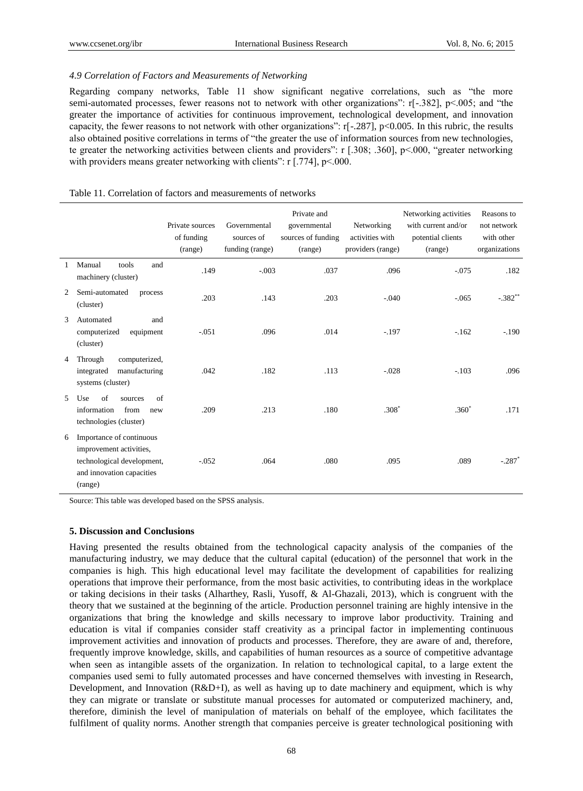## *4.9 Correlation of Factors and Measurements of Networking*

Regarding company networks, Table 11 show significant negative correlations, such as "the more semi-automated processes, fewer reasons not to network with other organizations": r[-.382], p<.005; and "the greater the importance of activities for continuous improvement, technological development, and innovation capacity, the fewer reasons to not network with other organizations": r[-.287], p<0.005. In this rubric, the results also obtained positive correlations in terms of "the greater the use of information sources from new technologies, te greater the networking activities between clients and providers": r [.308; .360], p<.000, "greater networking with providers means greater networking with clients": r [.774], p<.000.

|                |                                                                                                                           | Private sources<br>of funding<br>(range) | Governmental<br>sources of<br>funding (range) | Private and<br>governmental<br>sources of funding<br>(range) | Networking<br>activities with<br>providers (range) | Networking activities<br>with current and/or<br>potential clients<br>(range) | Reasons to<br>not network<br>with other<br>organizations |
|----------------|---------------------------------------------------------------------------------------------------------------------------|------------------------------------------|-----------------------------------------------|--------------------------------------------------------------|----------------------------------------------------|------------------------------------------------------------------------------|----------------------------------------------------------|
|                | Manual<br>tools<br>and<br>machinery (cluster)                                                                             | .149                                     | $-.003$                                       | .037                                                         | .096                                               | $-.075$                                                                      | .182                                                     |
| 2              | Semi-automated<br>process<br>(cluster)                                                                                    | .203                                     | .143                                          | .203                                                         | $-.040$                                            | $-.065$                                                                      | $-.382**$                                                |
| 3              | Automated<br>and<br>computerized<br>equipment<br>(cluster)                                                                | $-.051$                                  | .096                                          | .014                                                         | $-.197$                                            | $-.162$                                                                      | $-.190$                                                  |
| $\overline{4}$ | Through<br>computerized,<br>manufacturing<br>integrated<br>systems (cluster)                                              | .042                                     | .182                                          | .113                                                         | $-.028$                                            | $-.103$                                                                      | .096                                                     |
| $\mathcal{F}$  | of<br>Use<br>of<br>sources<br>information<br>from<br>new<br>technologies (cluster)                                        | .209                                     | .213                                          | .180                                                         | $.308*$                                            | $.360*$                                                                      | .171                                                     |
| 6              | Importance of continuous<br>improvement activities,<br>technological development,<br>and innovation capacities<br>(range) | $-.052$                                  | .064                                          | .080                                                         | .095                                               | .089                                                                         | $-.287$                                                  |

## Table 11. Correlation of factors and measurements of networks

Source: This table was developed based on the SPSS analysis.

#### **5. Discussion and Conclusions**

Having presented the results obtained from the technological capacity analysis of the companies of the manufacturing industry, we may deduce that the cultural capital (education) of the personnel that work in the companies is high. This high educational level may facilitate the development of capabilities for realizing operations that improve their performance, from the most basic activities, to contributing ideas in the workplace or taking decisions in their tasks (Alharthey, Rasli, Yusoff, & Al-Ghazali, 2013), which is congruent with the theory that we sustained at the beginning of the article. Production personnel training are highly intensive in the organizations that bring the knowledge and skills necessary to improve labor productivity. Training and education is vital if companies consider staff creativity as a principal factor in implementing continuous improvement activities and innovation of products and processes. Therefore, they are aware of and, therefore, frequently improve knowledge, skills, and capabilities of human resources as a source of competitive advantage when seen as intangible assets of the organization. In relation to technological capital, to a large extent the companies used semi to fully automated processes and have concerned themselves with investing in Research, Development, and Innovation (R&D+I), as well as having up to date machinery and equipment, which is why they can migrate or translate or substitute manual processes for automated or computerized machinery, and, therefore, diminish the level of manipulation of materials on behalf of the employee, which facilitates the fulfilment of quality norms. Another strength that companies perceive is greater technological positioning with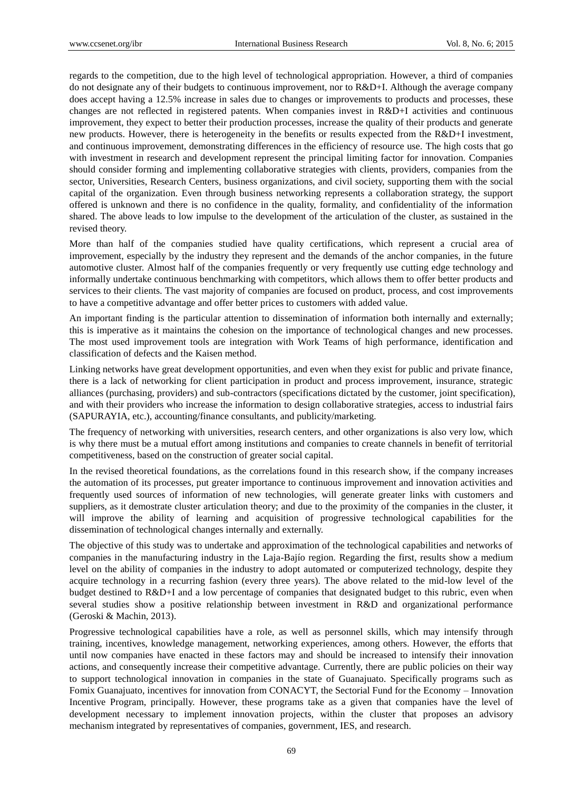regards to the competition, due to the high level of technological appropriation. However, a third of companies do not designate any of their budgets to continuous improvement, nor to R&D+I. Although the average company does accept having a 12.5% increase in sales due to changes or improvements to products and processes, these changes are not reflected in registered patents. When companies invest in R&D+I activities and continuous improvement, they expect to better their production processes, increase the quality of their products and generate new products. However, there is heterogeneity in the benefits or results expected from the R&D+I investment, and continuous improvement, demonstrating differences in the efficiency of resource use. The high costs that go with investment in research and development represent the principal limiting factor for innovation. Companies should consider forming and implementing collaborative strategies with clients, providers, companies from the sector, Universities, Research Centers, business organizations, and civil society, supporting them with the social capital of the organization. Even through business networking represents a collaboration strategy, the support offered is unknown and there is no confidence in the quality, formality, and confidentiality of the information shared. The above leads to low impulse to the development of the articulation of the cluster, as sustained in the revised theory.

More than half of the companies studied have quality certifications, which represent a crucial area of improvement, especially by the industry they represent and the demands of the anchor companies, in the future automotive cluster. Almost half of the companies frequently or very frequently use cutting edge technology and informally undertake continuous benchmarking with competitors, which allows them to offer better products and services to their clients. The vast majority of companies are focused on product, process, and cost improvements to have a competitive advantage and offer better prices to customers with added value.

An important finding is the particular attention to dissemination of information both internally and externally; this is imperative as it maintains the cohesion on the importance of technological changes and new processes. The most used improvement tools are integration with Work Teams of high performance, identification and classification of defects and the Kaisen method.

Linking networks have great development opportunities, and even when they exist for public and private finance, there is a lack of networking for client participation in product and process improvement, insurance, strategic alliances (purchasing, providers) and sub-contractors (specifications dictated by the customer, joint specification), and with their providers who increase the information to design collaborative strategies, access to industrial fairs (SAPURAYIA, etc.), accounting/finance consultants, and publicity/marketing.

The frequency of networking with universities, research centers, and other organizations is also very low, which is why there must be a mutual effort among institutions and companies to create channels in benefit of territorial competitiveness, based on the construction of greater social capital.

In the revised theoretical foundations, as the correlations found in this research show, if the company increases the automation of its processes, put greater importance to continuous improvement and innovation activities and frequently used sources of information of new technologies, will generate greater links with customers and suppliers, as it demostrate cluster articulation theory; and due to the proximity of the companies in the cluster, it will improve the ability of learning and acquisition of progressive technological capabilities for the dissemination of technological changes internally and externally.

The objective of this study was to undertake and approximation of the technological capabilities and networks of companies in the manufacturing industry in the Laja-Baj  $\acute{o}$  region. Regarding the first, results show a medium level on the ability of companies in the industry to adopt automated or computerized technology, despite they acquire technology in a recurring fashion (every three years). The above related to the mid-low level of the budget destined to R&D+I and a low percentage of companies that designated budget to this rubric, even when several studies show a positive relationship between investment in R&D and organizational performance (Geroski & Machin, 2013).

Progressive technological capabilities have a role, as well as personnel skills, which may intensify through training, incentives, knowledge management, networking experiences, among others. However, the efforts that until now companies have enacted in these factors may and should be increased to intensify their innovation actions, and consequently increase their competitive advantage. Currently, there are public policies on their way to support technological innovation in companies in the state of Guanajuato. Specifically programs such as Fomix Guanajuato, incentives for innovation from CONACYT, the Sectorial Fund for the Economy – Innovation Incentive Program, principally. However, these programs take as a given that companies have the level of development necessary to implement innovation projects, within the cluster that proposes an advisory mechanism integrated by representatives of companies, government, IES, and research.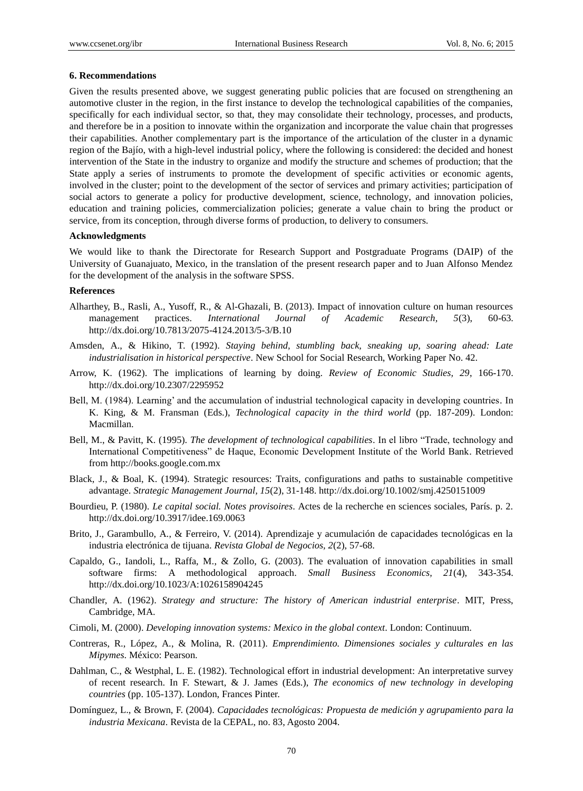#### **6. Recommendations**

Given the results presented above, we suggest generating public policies that are focused on strengthening an automotive cluster in the region, in the first instance to develop the technological capabilities of the companies, specifically for each individual sector, so that, they may consolidate their technology, processes, and products, and therefore be in a position to innovate within the organization and incorporate the value chain that progresses their capabilities. Another complementary part is the importance of the articulation of the cluster in a dynamic region of the Bajío, with a high-level industrial policy, where the following is considered: the decided and honest intervention of the State in the industry to organize and modify the structure and schemes of production; that the State apply a series of instruments to promote the development of specific activities or economic agents, involved in the cluster; point to the development of the sector of services and primary activities; participation of social actors to generate a policy for productive development, science, technology, and innovation policies, education and training policies, commercialization policies; generate a value chain to bring the product or service, from its conception, through diverse forms of production, to delivery to consumers.

#### **Acknowledgments**

We would like to thank the Directorate for Research Support and Postgraduate Programs (DAIP) of the University of Guanajuato, Mexico, in the translation of the present research paper and to Juan Alfonso Mendez for the development of the analysis in the software SPSS.

#### **References**

- Alharthey, B., Rasli, A., Yusoff, R., & Al-Ghazali, B. (2013). Impact of innovation culture on human resources management practices. *International Journal of Academic Research, 5*(3), 60-63. http://dx.doi.org/10.7813/2075-4124.2013/5-3/B.10
- Amsden, A., & Hikino, T. (1992). *Staying behind, stumbling back, sneaking up, soaring ahead: Late industrialisation in historical perspective*. New School for Social Research, Working Paper No. 42.
- Arrow, K. (1962). The implications of learning by doing. *Review of Economic Studies, 29*, 166-170. http://dx.doi.org/10.2307/2295952
- Bell, M. (1984). Learning' and the accumulation of industrial technological capacity in developing countries. In K. King, & M. Fransman (Eds.), *Technological capacity in the third world* (pp. 187-209). London: Macmillan.
- Bell, M., & Pavitt, K. (1995). *The development of technological capabilities*. In el libro "Trade, technology and International Competitiveness" de Haque, Economic Development Institute of the World Bank. Retrieved from http://books.google.com.mx
- Black, J., & Boal, K. (1994). Strategic resources: Traits, configurations and paths to sustainable competitive advantage. *Strategic Management Journal, 15*(2), 31-148. http://dx.doi.org/10.1002/smj.4250151009
- Bourdieu, P. (1980). *Le capital social. Notes provisoires*. Actes de la recherche en sciences sociales, París. p. 2. http://dx.doi.org/10.3917/idee.169.0063
- Brito, J., Garambullo, A., & Ferreiro, V. (2014). Aprendizaje y acumulación de capacidades tecnológicas en la industria electrónica de tijuana. *Revista Global de Negocios, 2*(2), 57-68.
- Capaldo, G., Iandoli, L., Raffa, M., & Zollo, G. (2003). The evaluation of innovation capabilities in small software firms: A methodological approach. *Small Business Economics, 21*(4), 343-354. http://dx.doi.org/10.1023/A:1026158904245
- Chandler, A. (1962). *Strategy and structure: The history of American industrial enterprise*. MIT, Press, Cambridge, MA.
- Cimoli, M. (2000). *Developing innovation systems: Mexico in the global context*. London: Continuum.
- Contreras, R., López, A., & Molina, R. (2011). *Emprendimiento. Dimensiones sociales y culturales en las Mipymes*. México: Pearson.
- Dahlman, C., & Westphal, L. E. (1982). Technological effort in industrial development: An interpretative survey of recent research. In F. Stewart, & J. James (Eds.), *The economics of new technology in developing countries* (pp. 105-137). London, Frances Pinter.
- Domínguez, L., & Brown, F. (2004). *Capacidades tecnológicas: Propuesta de medición y agrupamiento para la industria Mexicana*. Revista de la CEPAL, no. 83, Agosto 2004.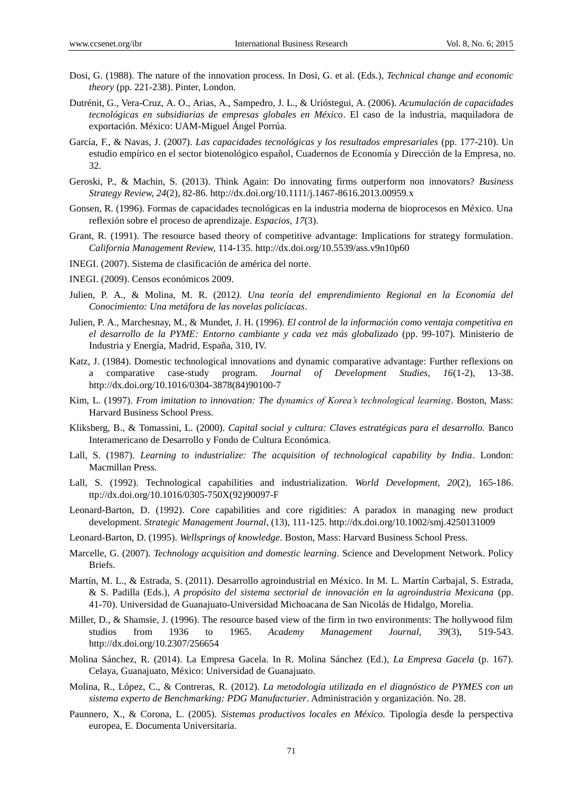- Dosi, G. (1988). The nature of the innovation process. In Dosi, G. et al. (Eds.), *Technical change and economic theory* (pp. 221-238). Pinter, London.
- Dutrénit, G., Vera-Cruz, A. O., Arias, A., Sampedro, J. L., & Urióstegui, A. (2006). *Acumulación de capacidades tecnológicas en subsidiarias de empresas globales en México*. El caso de la industria, maquiladora de exportación. México: UAM-Miguel Ángel Porrúa.
- García, F., & Navas, J. (2007). *Las capacidades tecnológicas y los resultados empresariales* (pp. 177-210). Un estudio empírico en el sector biotenológico español, Cuadernos de Economía y Dirección de la Empresa, no. 32.
- Geroski, P., & Machin, S. (2013). Think Again: Do innovating firms outperform non innovators? *Business Strategy Review, 24*(2), 82-86. http://dx.doi.org/10.1111/j.1467-8616.2013.00959.x
- Gonsen, R. (1996). Formas de capacidades tecnológicas en la industria moderna de bioprocesos en México. Una reflexión sobre el proceso de aprendizaje. *Espacios, 17*(3).
- Grant, R. (1991). The resource based theory of competitive advantage: Implications for strategy formulation. *California Management Review,* 114-135. http://dx.doi.org/10.5539/ass.v9n10p60
- INEGI. (2007). Sistema de clasificación de américa del norte.
- INEGI. (2009). Censos económicos 2009.
- Julien, P. A., & Molina, M. R. (2012*). Una teoría del emprendimiento Regional en la Economía del Conocimiento: Una metáfora de las novelas policíacas*.
- Julien, P. A., Marchesnay, M., & Mundet, J. H. (1996). *El control de la información como ventaja competitiva en el desarrollo de la PYME: Entorno cambiante y cada vez más globalizado* (pp. 99-107). Ministerio de Industria y Energía, Madrid, España, 310, IV.
- Katz, J. (1984). Domestic technological innovations and dynamic comparative advantage: Further reflexions on a comparative case-study program. *Journal of Development Studies, 16*(1-2), 13-38. http://dx.doi.org/10.1016/0304-3878(84)90100-7
- Kim, L. (1997). *From imitation to innovation: The dynamics of Korea's technological learning*. Boston, Mass: Harvard Business School Press.
- Kliksberg, B., & Tomassini, L. (2000). *Capital social y cultura: Claves estratégicas para el desarrollo.* Banco Interamericano de Desarrollo y Fondo de Cultura Económica.
- Lall, S. (1987). *Learning to industrialize: The acquisition of technological capability by India*. London: Macmillan Press.
- Lall, S. (1992). Technological capabilities and industrialization. *World Development, 20*(2), 165-186. ttp://dx.doi.org/10.1016/0305-750X(92)90097-F
- Leonard-Barton, D. (1992). Core capabilities and core rigidities: A paradox in managing new product development. *Strategic Management Journal*, (13), 111-125. http://dx.doi.org/10.1002/smj.4250131009
- Leonard-Barton, D. (1995). *Wellsprings of knowledge*. Boston, Mass: Harvard Business School Press.
- Marcelle, G. (2007). *Technology acquisition and domestic learning*. Science and Development Network. Policy Briefs.
- Mart n, M. L., & Estrada, S. (2011). Desarrollo agroindustrial en México. In M. L. Mart n Carbajal, S. Estrada, & S. Padilla (Eds.), *A propósito del sistema sectorial de innovación en la agroindustria Mexicana* (pp. 41-70). Universidad de Guanajuato-Universidad Michoacana de San Nicolás de Hidalgo, Morelia.
- Miller, D., & Shamsie, J. (1996). The resource based view of the firm in two environments: The hollywood film studios from 1936 to 1965. *Academy Management Journal, 39*(3), 519-543. http://dx.doi.org/10.2307/256654
- Molina Sánchez, R. (2014). La Empresa Gacela. In R. Molina Sánchez (Ed.), *La Empresa Gacela* (p. 167). Celaya, Guanajuato, México: Universidad de Guanajuato.
- Molina, R., López, C., & Contreras, R. (2012). *La metodología utilizada en el diagnóstico de PYMES con un sistema experto de Benchmarking: PDG Manufacturier*. Administración y organización. No. 28.
- Paunnero, X., & Corona, L. (2005). *Sistemas productivos locales en México.* Tipología desde la perspectiva europea, E. Documenta Universitaria.